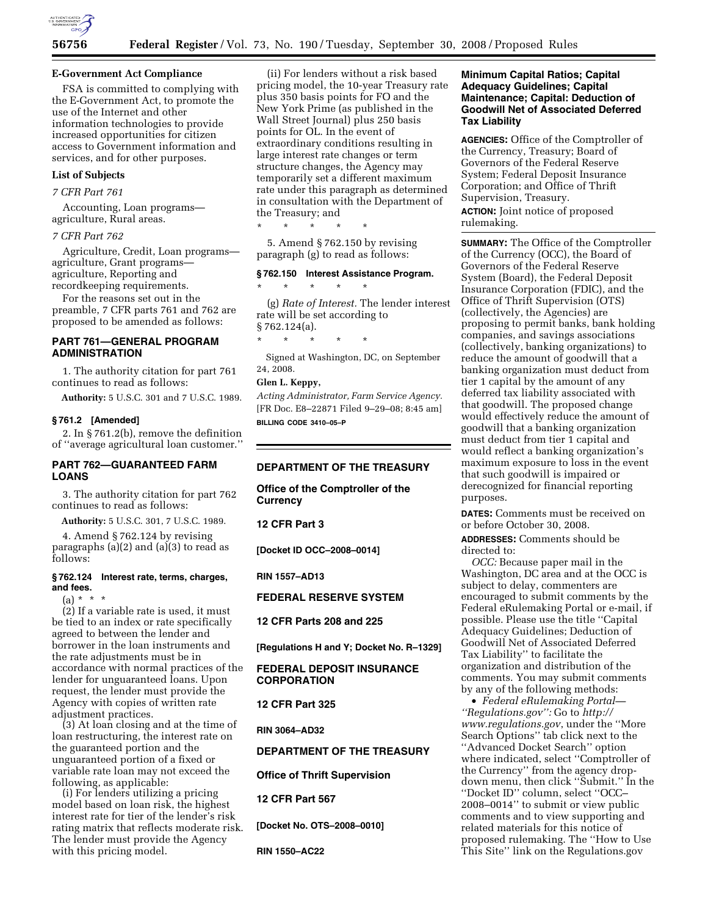

### **E-Government Act Compliance**

FSA is committed to complying with the E-Government Act, to promote the use of the Internet and other information technologies to provide increased opportunities for citizen access to Government information and services, and for other purposes.

# **List of Subjects**

#### *7 CFR Part 761*

Accounting, Loan programs agriculture, Rural areas.

#### *7 CFR Part 762*

Agriculture, Credit, Loan programs agriculture, Grant programs agriculture, Reporting and recordkeeping requirements.

For the reasons set out in the preamble, 7 CFR parts 761 and 762 are proposed to be amended as follows:

## **PART 761—GENERAL PROGRAM ADMINISTRATION**

1. The authority citation for part 761 continues to read as follows:

**Authority:** 5 U.S.C. 301 and 7 U.S.C. 1989.

### **§ 761.2 [Amended]**

2. In § 761.2(b), remove the definition of ''average agricultural loan customer.''

### **PART 762—GUARANTEED FARM LOANS**

3. The authority citation for part 762 continues to read as follows:

**Authority:** 5 U.S.C. 301, 7 U.S.C. 1989.

4. Amend § 762.124 by revising paragraphs (a)(2) and (a)(3) to read as follows:

#### **§ 762.124 Interest rate, terms, charges, and fees.**

 $(a) * * * *$ 

(2) If a variable rate is used, it must be tied to an index or rate specifically agreed to between the lender and borrower in the loan instruments and the rate adjustments must be in accordance with normal practices of the lender for unguaranteed loans. Upon request, the lender must provide the Agency with copies of written rate adjustment practices.

(3) At loan closing and at the time of loan restructuring, the interest rate on the guaranteed portion and the unguaranteed portion of a fixed or variable rate loan may not exceed the following, as applicable:

(i) For lenders utilizing a pricing model based on loan risk, the highest interest rate for tier of the lender's risk rating matrix that reflects moderate risk. The lender must provide the Agency with this pricing model.

(ii) For lenders without a risk based pricing model, the 10-year Treasury rate plus 350 basis points for FO and the New York Prime (as published in the Wall Street Journal) plus 250 basis points for OL. In the event of extraordinary conditions resulting in large interest rate changes or term structure changes, the Agency may temporarily set a different maximum rate under this paragraph as determined in consultation with the Department of the Treasury; and

\* \* \* \* \*

5. Amend § 762.150 by revising paragraph (g) to read as follows:

#### **§ 762.150 Interest Assistance Program.**

\* \* \* \* \*

(g) *Rate of Interest.* The lender interest rate will be set according to § 762.124(a).

\* \* \* \* \*

Signed at Washington, DC, on September 24, 2008.

# **Glen L. Keppy,**

*Acting Administrator, Farm Service Agency.*  [FR Doc. E8–22871 Filed 9–29–08; 8:45 am] **BILLING CODE 3410–05–P** 

### **DEPARTMENT OF THE TREASURY**

**Office of the Comptroller of the Currency** 

**12 CFR Part 3** 

**[Docket ID OCC–2008–0014]** 

#### **RIN 1557–AD13**

## **FEDERAL RESERVE SYSTEM**

**12 CFR Parts 208 and 225** 

**[Regulations H and Y; Docket No. R–1329]** 

### **FEDERAL DEPOSIT INSURANCE CORPORATION**

**12 CFR Part 325** 

**RIN 3064–AD32** 

#### **DEPARTMENT OF THE TREASURY**

**Office of Thrift Supervision** 

**12 CFR Part 567** 

**[Docket No. OTS–2008–0010]** 

**RIN 1550–AC22** 

### **Minimum Capital Ratios; Capital Adequacy Guidelines; Capital Maintenance; Capital: Deduction of Goodwill Net of Associated Deferred Tax Liability**

**AGENCIES:** Office of the Comptroller of the Currency, Treasury; Board of Governors of the Federal Reserve System; Federal Deposit Insurance Corporation; and Office of Thrift Supervision, Treasury.

**ACTION:** Joint notice of proposed rulemaking.

**SUMMARY:** The Office of the Comptroller of the Currency (OCC), the Board of Governors of the Federal Reserve System (Board), the Federal Deposit Insurance Corporation (FDIC), and the Office of Thrift Supervision (OTS) (collectively, the Agencies) are proposing to permit banks, bank holding companies, and savings associations (collectively, banking organizations) to reduce the amount of goodwill that a banking organization must deduct from tier 1 capital by the amount of any deferred tax liability associated with that goodwill. The proposed change would effectively reduce the amount of goodwill that a banking organization must deduct from tier 1 capital and would reflect a banking organization's maximum exposure to loss in the event that such goodwill is impaired or derecognized for financial reporting purposes.

**DATES:** Comments must be received on or before October 30, 2008.

**ADDRESSES:** Comments should be directed to:

*OCC:* Because paper mail in the Washington, DC area and at the OCC is subject to delay, commenters are encouraged to submit comments by the Federal eRulemaking Portal or e-mail, if possible. Please use the title ''Capital Adequacy Guidelines; Deduction of Goodwill Net of Associated Deferred Tax Liability'' to facilitate the organization and distribution of the comments. You may submit comments by any of the following methods:

• *Federal eRulemaking Portal— ''Regulations.gov'':* Go to *http:// www.regulations.gov*, under the ''More Search Options'' tab click next to the ''Advanced Docket Search'' option where indicated, select ''Comptroller of the Currency'' from the agency dropdown menu, then click ''Submit.'' In the ''Docket ID'' column, select ''OCC– 2008–0014'' to submit or view public comments and to view supporting and related materials for this notice of proposed rulemaking. The ''How to Use This Site'' link on the Regulations.gov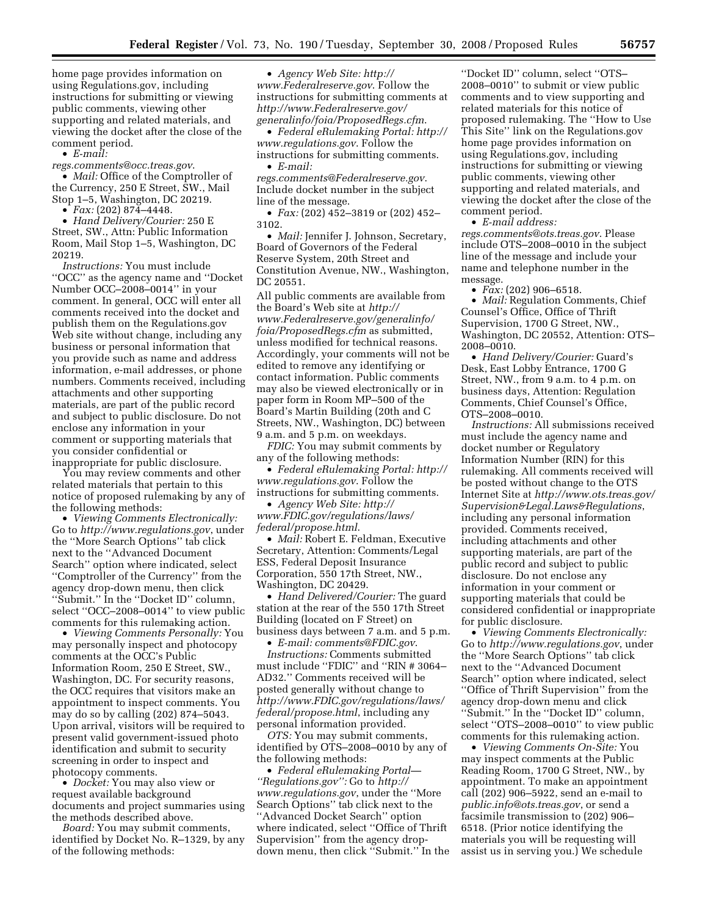home page provides information on using Regulations.gov, including instructions for submitting or viewing public comments, viewing other supporting and related materials, and viewing the docket after the close of the comment period.

• *E-mail:* 

*regs.comments@occ.treas.gov*.

• *Mail:* Office of the Comptroller of the Currency, 250 E Street, SW., Mail Stop 1–5, Washington, DC 20219.

 $\bullet$  *Fax:* (202) 874–4448. • *Hand Delivery/Courier:* 250 E

Street, SW., Attn: Public Information Room, Mail Stop 1–5, Washington, DC 20219.

*Instructions:* You must include ''OCC'' as the agency name and ''Docket Number OCC–2008–0014'' in your comment. In general, OCC will enter all comments received into the docket and publish them on the Regulations.gov Web site without change, including any business or personal information that you provide such as name and address information, e-mail addresses, or phone numbers. Comments received, including attachments and other supporting materials, are part of the public record and subject to public disclosure. Do not enclose any information in your comment or supporting materials that you consider confidential or inappropriate for public disclosure.

You may review comments and other related materials that pertain to this notice of proposed rulemaking by any of the following methods:

• *Viewing Comments Electronically:*  Go to *http://www.regulations.gov*, under the ''More Search Options'' tab click next to the ''Advanced Document Search'' option where indicated, select ''Comptroller of the Currency'' from the agency drop-down menu, then click ''Submit.'' In the ''Docket ID'' column, select ''OCC–2008–0014'' to view public comments for this rulemaking action.

• *Viewing Comments Personally:* You may personally inspect and photocopy comments at the OCC's Public Information Room, 250 E Street, SW., Washington, DC. For security reasons, the OCC requires that visitors make an appointment to inspect comments. You may do so by calling (202) 874–5043. Upon arrival, visitors will be required to present valid government-issued photo identification and submit to security screening in order to inspect and photocopy comments.

• *Docket:* You may also view or request available background documents and project summaries using the methods described above.

*Board:* You may submit comments, identified by Docket No. R–1329, by any of the following methods:

• *Agency Web Site: http:// www.Federalreserve.gov*. Follow the instructions for submitting comments at *http://www.Federalreserve.gov/ generalinfo/foia/ProposedRegs.cfm*.

• *Federal eRulemaking Portal: http:// www.regulations.gov*. Follow the instructions for submitting comments.

• *E-mail:* 

*regs.comments@Federalreserve.gov*. Include docket number in the subject line of the message.

• *Fax:* (202) 452–3819 or (202) 452– 3102.

• *Mail:* Jennifer J. Johnson, Secretary, Board of Governors of the Federal Reserve System, 20th Street and Constitution Avenue, NW., Washington, DC 20551.

All public comments are available from the Board's Web site at *http:// www.Federalreserve.gov/generalinfo/ foia/ProposedRegs.cfm* as submitted, unless modified for technical reasons. Accordingly, your comments will not be edited to remove any identifying or contact information. Public comments may also be viewed electronically or in paper form in Room MP–500 of the Board's Martin Building (20th and C Streets, NW., Washington, DC) between 9 a.m. and 5 p.m. on weekdays.

*FDIC:* You may submit comments by any of the following methods:

• *Federal eRulemaking Portal: http:// www.regulations.gov*. Follow the instructions for submitting comments.

• *Agency Web Site: http:// www.FDIC.gov/regulations/laws/ federal/propose.html*.

• *Mail:* Robert E. Feldman, Executive Secretary, Attention: Comments/Legal ESS, Federal Deposit Insurance Corporation, 550 17th Street, NW., Washington, DC 20429.

• *Hand Delivered/Courier:* The guard station at the rear of the 550 17th Street Building (located on F Street) on business days between 7 a.m. and 5 p.m.

• *E-mail: comments@FDIC.gov*. *Instructions:* Comments submitted must include ''FDIC'' and ''RIN # 3064– AD32.'' Comments received will be posted generally without change to *http://www.FDIC.gov/regulations/laws/ federal/propose.html*, including any personal information provided.

*OTS:* You may submit comments, identified by OTS–2008–0010 by any of the following methods:

• *Federal eRulemaking Portal— ''Regulations.gov'':* Go to *http:// www.regulations.gov*, under the ''More Search Options'' tab click next to the ''Advanced Docket Search'' option where indicated, select ''Office of Thrift Supervision'' from the agency dropdown menu, then click ''Submit.'' In the

''Docket ID'' column, select ''OTS– 2008–0010'' to submit or view public comments and to view supporting and related materials for this notice of proposed rulemaking. The ''How to Use This Site'' link on the Regulations.gov home page provides information on using Regulations.gov, including instructions for submitting or viewing public comments, viewing other supporting and related materials, and viewing the docket after the close of the comment period.

• *E-mail address: regs.comments@ots.treas.gov*. Please include OTS–2008–0010 in the subject line of the message and include your name and telephone number in the

message. • *Fax:* (202) 906–6518.

• *Mail:* Regulation Comments, Chief Counsel's Office, Office of Thrift Supervision, 1700 G Street, NW., Washington, DC 20552, Attention: OTS– 2008–0010.

• *Hand Delivery/Courier:* Guard's Desk, East Lobby Entrance, 1700 G Street, NW., from 9 a.m. to 4 p.m. on business days, Attention: Regulation Comments, Chief Counsel's Office, OTS–2008–0010.

*Instructions:* All submissions received must include the agency name and docket number or Regulatory Information Number (RIN) for this rulemaking. All comments received will be posted without change to the OTS Internet Site at *http://www.ots.treas.gov/ Supervision&Legal.Laws&Regulations*, including any personal information provided. Comments received, including attachments and other supporting materials, are part of the public record and subject to public disclosure. Do not enclose any information in your comment or supporting materials that could be considered confidential or inappropriate for public disclosure.

• *Viewing Comments Electronically:*  Go to *http://www.regulations.gov*, under the ''More Search Options'' tab click next to the ''Advanced Document Search'' option where indicated, select ''Office of Thrift Supervision'' from the agency drop-down menu and click ''Submit.'' In the ''Docket ID'' column, select ''OTS–2008–0010'' to view public comments for this rulemaking action.

• *Viewing Comments On-Site:* You may inspect comments at the Public Reading Room, 1700 G Street, NW., by appointment. To make an appointment call (202) 906–5922, send an e-mail to *public.info@ots.treas.gov*, or send a facsimile transmission to (202) 906– 6518. (Prior notice identifying the materials you will be requesting will assist us in serving you.) We schedule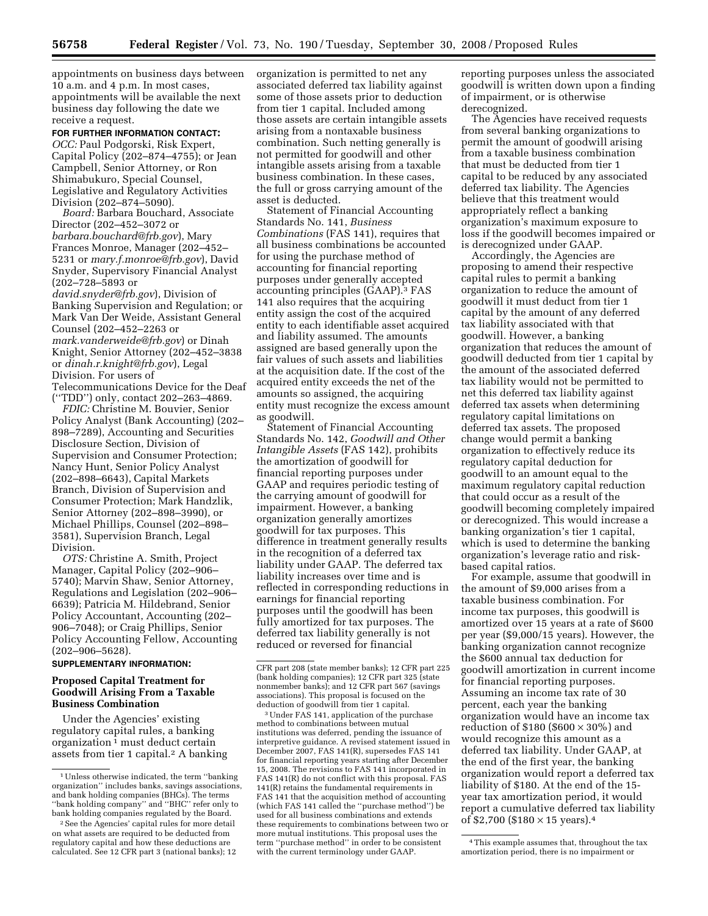appointments on business days between 10 a.m. and 4 p.m. In most cases, appointments will be available the next business day following the date we receive a request.

### **FOR FURTHER INFORMATION CONTACT:**

*OCC:* Paul Podgorski, Risk Expert, Capital Policy (202–874–4755); or Jean Campbell, Senior Attorney, or Ron Shimabukuro, Special Counsel, Legislative and Regulatory Activities Division (202–874–5090).

*Board:* Barbara Bouchard, Associate Director (202–452–3072 or *barbara.bouchard@frb.gov*), Mary Frances Monroe, Manager (202–452– 5231 or *mary.f.monroe@frb.gov*), David Snyder, Supervisory Financial Analyst (202–728–5893 or

*david.snyder@frb.gov*), Division of Banking Supervision and Regulation; or Mark Van Der Weide, Assistant General Counsel (202–452–2263 or *mark.vanderweide@frb.gov*) or Dinah Knight, Senior Attorney (202–452–3838 or *dinah.r.knight@frb.gov*), Legal Division. For users of Telecommunications Device for the Deaf

(''TDD'') only, contact 202–263–4869. *FDIC:* Christine M. Bouvier, Senior

Policy Analyst (Bank Accounting) (202– 898–7289), Accounting and Securities Disclosure Section, Division of Supervision and Consumer Protection; Nancy Hunt, Senior Policy Analyst (202–898–6643), Capital Markets Branch, Division of Supervision and Consumer Protection; Mark Handzlik, Senior Attorney (202–898–3990), or Michael Phillips, Counsel (202–898– 3581), Supervision Branch, Legal Division.

*OTS:* Christine A. Smith, Project Manager, Capital Policy (202–906– 5740); Marvin Shaw, Senior Attorney, Regulations and Legislation (202–906– 6639); Patricia M. Hildebrand, Senior Policy Accountant, Accounting (202– 906–7048); or Craig Phillips, Senior Policy Accounting Fellow, Accounting (202–906–5628).

### **SUPPLEMENTARY INFORMATION:**

#### **Proposed Capital Treatment for Goodwill Arising From a Taxable Business Combination**

Under the Agencies' existing regulatory capital rules, a banking organization 1 must deduct certain assets from tier 1 capital.<sup>2</sup> A banking organization is permitted to net any associated deferred tax liability against some of those assets prior to deduction from tier 1 capital. Included among those assets are certain intangible assets arising from a nontaxable business combination. Such netting generally is not permitted for goodwill and other intangible assets arising from a taxable business combination. In these cases, the full or gross carrying amount of the asset is deducted.

Statement of Financial Accounting Standards No. 141, *Business Combinations* (FAS 141), requires that all business combinations be accounted for using the purchase method of accounting for financial reporting purposes under generally accepted accounting principles (GAAP).3 FAS 141 also requires that the acquiring entity assign the cost of the acquired entity to each identifiable asset acquired and liability assumed. The amounts assigned are based generally upon the fair values of such assets and liabilities at the acquisition date. If the cost of the acquired entity exceeds the net of the amounts so assigned, the acquiring entity must recognize the excess amount as goodwill.

Statement of Financial Accounting Standards No. 142, *Goodwill and Other Intangible Assets* (FAS 142), prohibits the amortization of goodwill for financial reporting purposes under GAAP and requires periodic testing of the carrying amount of goodwill for impairment. However, a banking organization generally amortizes goodwill for tax purposes. This difference in treatment generally results in the recognition of a deferred tax liability under GAAP. The deferred tax liability increases over time and is reflected in corresponding reductions in earnings for financial reporting purposes until the goodwill has been fully amortized for tax purposes. The deferred tax liability generally is not reduced or reversed for financial

3Under FAS 141, application of the purchase method to combinations between mutual institutions was deferred, pending the issuance of interpretive guidance. A revised statement issued in December 2007, FAS 141(R), supersedes FAS 141 for financial reporting years starting after December 15, 2008. The revisions to FAS 141 incorporated in FAS 141(R) do not conflict with this proposal. FAS 141(R) retains the fundamental requirements in FAS 141 that the acquisition method of accounting (which FAS 141 called the ''purchase method'') be used for all business combinations and extends these requirements to combinations between two or more mutual institutions. This proposal uses the term ''purchase method'' in order to be consistent with the current terminology under GAAP.

reporting purposes unless the associated goodwill is written down upon a finding of impairment, or is otherwise derecognized.

The Agencies have received requests from several banking organizations to permit the amount of goodwill arising from a taxable business combination that must be deducted from tier 1 capital to be reduced by any associated deferred tax liability. The Agencies believe that this treatment would appropriately reflect a banking organization's maximum exposure to loss if the goodwill becomes impaired or is derecognized under GAAP.

Accordingly, the Agencies are proposing to amend their respective capital rules to permit a banking organization to reduce the amount of goodwill it must deduct from tier 1 capital by the amount of any deferred tax liability associated with that goodwill. However, a banking organization that reduces the amount of goodwill deducted from tier 1 capital by the amount of the associated deferred tax liability would not be permitted to net this deferred tax liability against deferred tax assets when determining regulatory capital limitations on deferred tax assets. The proposed change would permit a banking organization to effectively reduce its regulatory capital deduction for goodwill to an amount equal to the maximum regulatory capital reduction that could occur as a result of the goodwill becoming completely impaired or derecognized. This would increase a banking organization's tier 1 capital, which is used to determine the banking organization's leverage ratio and riskbased capital ratios.

For example, assume that goodwill in the amount of \$9,000 arises from a taxable business combination. For income tax purposes, this goodwill is amortized over 15 years at a rate of \$600 per year (\$9,000/15 years). However, the banking organization cannot recognize the \$600 annual tax deduction for goodwill amortization in current income for financial reporting purposes. Assuming an income tax rate of 30 percent, each year the banking organization would have an income tax reduction of \$180 (\$600  $\times$  30%) and would recognize this amount as a deferred tax liability. Under GAAP, at the end of the first year, the banking organization would report a deferred tax liability of \$180. At the end of the 15 year tax amortization period, it would report a cumulative deferred tax liability of \$2,700 (\$180  $\times$  15 years).<sup>4</sup>

<sup>&</sup>lt;sup>1</sup> Unless otherwise indicated, the term "banking organization'' includes banks, savings associations, and bank holding companies (BHCs). The terms ''bank holding company'' and ''BHC'' refer only to bank holding companies regulated by the Board.

<sup>2</sup>See the Agencies' capital rules for more detail on what assets are required to be deducted from regulatory capital and how these deductions are calculated. See 12 CFR part 3 (national banks); 12

CFR part 208 (state member banks); 12 CFR part 225 (bank holding companies); 12 CFR part 325 (state nonmember banks); and 12 CFR part 567 (savings associations). This proposal is focused on the deduction of goodwill from tier 1 capital.

<sup>4</sup>This example assumes that, throughout the tax amortization period, there is no impairment or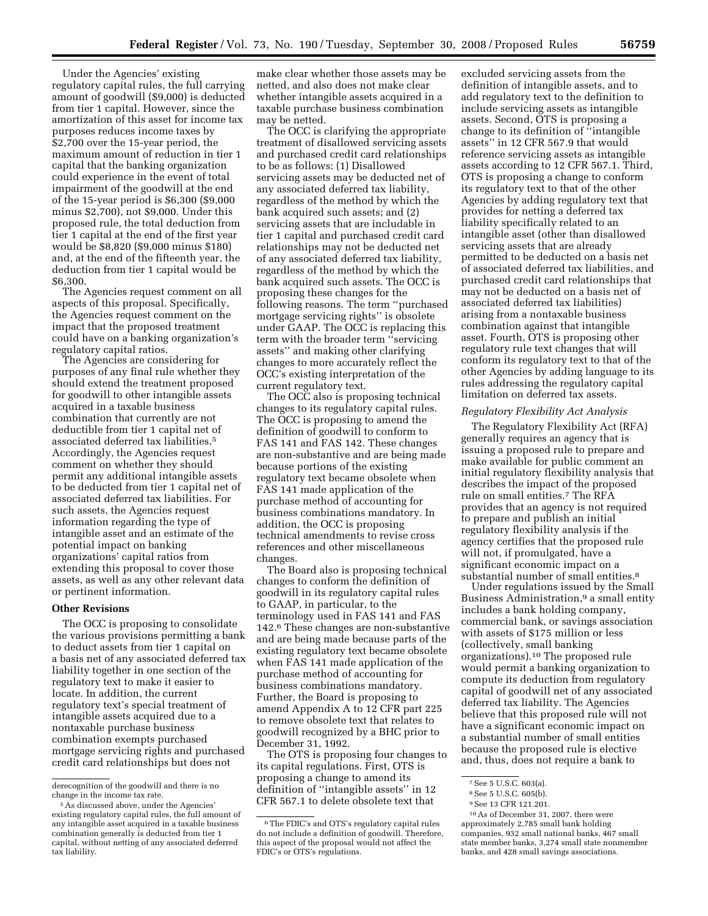Under the Agencies' existing regulatory capital rules, the full carrying amount of goodwill (\$9,000) is deducted from tier 1 capital. However, since the amortization of this asset for income tax purposes reduces income taxes by \$2,700 over the 15-year period, the maximum amount of reduction in tier 1 capital that the banking organization could experience in the event of total impairment of the goodwill at the end of the 15-year period is \$6,300 (\$9,000 minus \$2,700), not \$9,000. Under this proposed rule, the total deduction from tier 1 capital at the end of the first year would be \$8,820 (\$9,000 minus \$180) and, at the end of the fifteenth year, the deduction from tier 1 capital would be \$6,300.

The Agencies request comment on all aspects of this proposal. Specifically, the Agencies request comment on the impact that the proposed treatment could have on a banking organization's regulatory capital ratios.

The Agencies are considering for purposes of any final rule whether they should extend the treatment proposed for goodwill to other intangible assets acquired in a taxable business combination that currently are not deductible from tier 1 capital net of associated deferred tax liabilities.5 Accordingly, the Agencies request comment on whether they should permit any additional intangible assets to be deducted from tier 1 capital net of associated deferred tax liabilities. For such assets, the Agencies request information regarding the type of intangible asset and an estimate of the potential impact on banking organizations' capital ratios from extending this proposal to cover those assets, as well as any other relevant data or pertinent information.

#### **Other Revisions**

The OCC is proposing to consolidate the various provisions permitting a bank to deduct assets from tier 1 capital on a basis net of any associated deferred tax liability together in one section of the regulatory text to make it easier to locate. In addition, the current regulatory text's special treatment of intangible assets acquired due to a nontaxable purchase business combination exempts purchased mortgage servicing rights and purchased credit card relationships but does not

make clear whether those assets may be netted, and also does not make clear whether intangible assets acquired in a taxable purchase business combination may be netted.

The OCC is clarifying the appropriate treatment of disallowed servicing assets and purchased credit card relationships to be as follows: (1) Disallowed servicing assets may be deducted net of any associated deferred tax liability, regardless of the method by which the bank acquired such assets; and (2) servicing assets that are includable in tier 1 capital and purchased credit card relationships may not be deducted net of any associated deferred tax liability, regardless of the method by which the bank acquired such assets. The OCC is proposing these changes for the following reasons. The term ''purchased mortgage servicing rights'' is obsolete under GAAP. The OCC is replacing this term with the broader term ''servicing assets'' and making other clarifying changes to more accurately reflect the OCC's existing interpretation of the current regulatory text.

The OCC also is proposing technical changes to its regulatory capital rules. The OCC is proposing to amend the definition of goodwill to conform to FAS 141 and FAS 142. These changes are non-substantive and are being made because portions of the existing regulatory text became obsolete when FAS 141 made application of the purchase method of accounting for business combinations mandatory. In addition, the OCC is proposing technical amendments to revise cross references and other miscellaneous changes.

The Board also is proposing technical changes to conform the definition of goodwill in its regulatory capital rules to GAAP, in particular, to the terminology used in FAS 141 and FAS 142.6 These changes are non-substantive and are being made because parts of the existing regulatory text became obsolete when FAS 141 made application of the purchase method of accounting for business combinations mandatory. Further, the Board is proposing to amend Appendix A to 12 CFR part 225 to remove obsolete text that relates to goodwill recognized by a BHC prior to December 31, 1992.

The OTS is proposing four changes to its capital regulations. First, OTS is proposing a change to amend its definition of ''intangible assets'' in 12 CFR 567.1 to delete obsolete text that

excluded servicing assets from the definition of intangible assets, and to add regulatory text to the definition to include servicing assets as intangible assets. Second, OTS is proposing a change to its definition of ''intangible assets'' in 12 CFR 567.9 that would reference servicing assets as intangible assets according to 12 CFR 567.1. Third, OTS is proposing a change to conform its regulatory text to that of the other Agencies by adding regulatory text that provides for netting a deferred tax liability specifically related to an intangible asset (other than disallowed servicing assets that are already permitted to be deducted on a basis net of associated deferred tax liabilities, and purchased credit card relationships that may not be deducted on a basis net of associated deferred tax liabilities) arising from a nontaxable business combination against that intangible asset. Fourth, OTS is proposing other regulatory rule text changes that will conform its regulatory text to that of the other Agencies by adding language to its rules addressing the regulatory capital limitation on deferred tax assets.

#### *Regulatory Flexibility Act Analysis*

The Regulatory Flexibility Act (RFA) generally requires an agency that is issuing a proposed rule to prepare and make available for public comment an initial regulatory flexibility analysis that describes the impact of the proposed rule on small entities.7 The RFA provides that an agency is not required to prepare and publish an initial regulatory flexibility analysis if the agency certifies that the proposed rule will not, if promulgated, have a significant economic impact on a substantial number of small entities.<sup>8</sup>

Under regulations issued by the Small Business Administration,<sup>9</sup> a small entity includes a bank holding company, commercial bank, or savings association with assets of \$175 million or less (collectively, small banking organizations).10 The proposed rule would permit a banking organization to compute its deduction from regulatory capital of goodwill net of any associated deferred tax liability. The Agencies believe that this proposed rule will not have a significant economic impact on a substantial number of small entities because the proposed rule is elective and, thus, does not require a bank to

derecognition of the goodwill and there is no change in the income tax rate.

<sup>5</sup>As discussed above, under the Agencies' existing regulatory capital rules, the full amount of any intangible asset acquired in a taxable business combination generally is deducted from tier 1 capital, without netting of any associated deferred tax liability.

<sup>6</sup>The FDIC's and OTS's regulatory capital rules do not include a definition of goodwill. Therefore, this aspect of the proposal would not affect the FDIC's or OTS's regulations.

<sup>7</sup>See 5 U.S.C. 603(a).

<sup>&</sup>lt;sup>8</sup> See 5 U.S.C. 605(b).

<sup>9</sup>See 13 CFR 121.201.

<sup>10</sup>As of December 31, 2007, there were approximately 2,785 small bank holding companies, 932 small national banks, 467 small state member banks, 3,274 small state nonmember banks, and 428 small savings associations.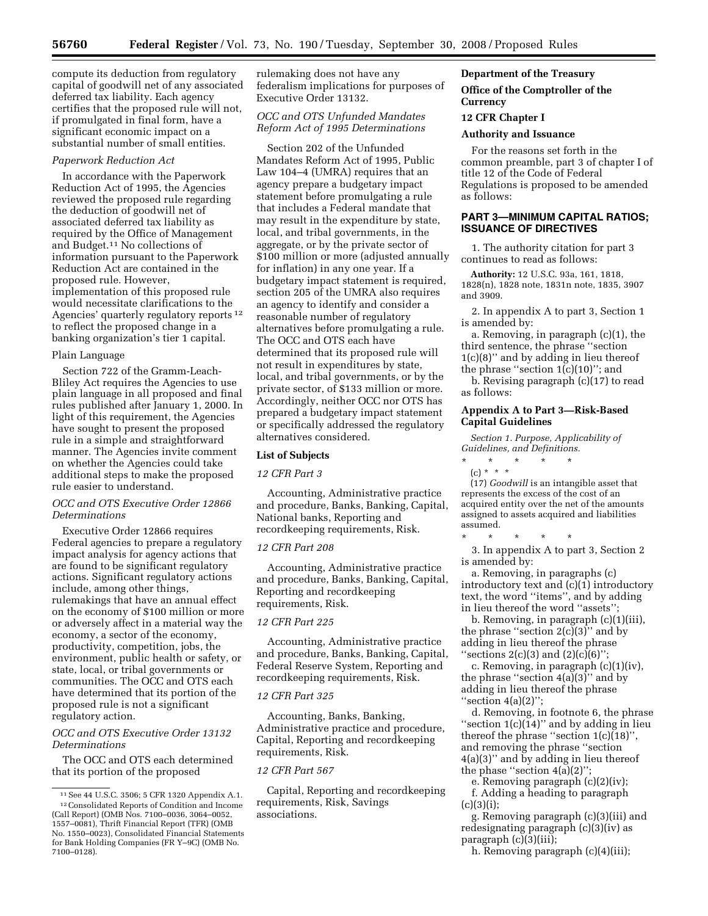compute its deduction from regulatory capital of goodwill net of any associated deferred tax liability. Each agency certifies that the proposed rule will not, if promulgated in final form, have a significant economic impact on a substantial number of small entities.

#### *Paperwork Reduction Act*

In accordance with the Paperwork Reduction Act of 1995, the Agencies reviewed the proposed rule regarding the deduction of goodwill net of associated deferred tax liability as required by the Office of Management and Budget.11 No collections of information pursuant to the Paperwork Reduction Act are contained in the proposed rule. However, implementation of this proposed rule would necessitate clarifications to the Agencies' quarterly regulatory reports 12 to reflect the proposed change in a banking organization's tier 1 capital.

#### Plain Language

Section 722 of the Gramm-Leach-Bliley Act requires the Agencies to use plain language in all proposed and final rules published after January 1, 2000. In light of this requirement, the Agencies have sought to present the proposed rule in a simple and straightforward manner. The Agencies invite comment on whether the Agencies could take additional steps to make the proposed rule easier to understand.

#### *OCC and OTS Executive Order 12866 Determinations*

Executive Order 12866 requires Federal agencies to prepare a regulatory impact analysis for agency actions that are found to be significant regulatory actions. Significant regulatory actions include, among other things, rulemakings that have an annual effect on the economy of \$100 million or more or adversely affect in a material way the economy, a sector of the economy, productivity, competition, jobs, the environment, public health or safety, or state, local, or tribal governments or communities. The OCC and OTS each have determined that its portion of the proposed rule is not a significant regulatory action.

### *OCC and OTS Executive Order 13132 Determinations*

The OCC and OTS each determined that its portion of the proposed

rulemaking does not have any federalism implications for purposes of Executive Order 13132.

### *OCC and OTS Unfunded Mandates Reform Act of 1995 Determinations*

Section 202 of the Unfunded Mandates Reform Act of 1995, Public Law 104–4 (UMRA) requires that an agency prepare a budgetary impact statement before promulgating a rule that includes a Federal mandate that may result in the expenditure by state, local, and tribal governments, in the aggregate, or by the private sector of \$100 million or more (adjusted annually for inflation) in any one year. If a budgetary impact statement is required, section 205 of the UMRA also requires an agency to identify and consider a reasonable number of regulatory alternatives before promulgating a rule. The OCC and OTS each have determined that its proposed rule will not result in expenditures by state, local, and tribal governments, or by the private sector, of \$133 million or more. Accordingly, neither OCC nor OTS has prepared a budgetary impact statement or specifically addressed the regulatory alternatives considered.

#### **List of Subjects**

#### *12 CFR Part 3*

Accounting, Administrative practice and procedure, Banks, Banking, Capital, National banks, Reporting and recordkeeping requirements, Risk.

### *12 CFR Part 208*

Accounting, Administrative practice and procedure, Banks, Banking, Capital, Reporting and recordkeeping requirements, Risk.

#### *12 CFR Part 225*

Accounting, Administrative practice and procedure, Banks, Banking, Capital, Federal Reserve System, Reporting and recordkeeping requirements, Risk.

#### *12 CFR Part 325*

Accounting, Banks, Banking, Administrative practice and procedure, Capital, Reporting and recordkeeping requirements, Risk.

### *12 CFR Part 567*

Capital, Reporting and recordkeeping requirements, Risk, Savings associations.

### **Department of the Treasury**

### **Office of the Comptroller of the Currency**

#### **12 CFR Chapter I**

### **Authority and Issuance**

For the reasons set forth in the common preamble, part 3 of chapter I of title 12 of the Code of Federal Regulations is proposed to be amended as follows:

# **PART 3—MINIMUM CAPITAL RATIOS; ISSUANCE OF DIRECTIVES**

1. The authority citation for part 3 continues to read as follows:

**Authority:** 12 U.S.C. 93a, 161, 1818, 1828(n), 1828 note, 1831n note, 1835, 3907 and 3909.

2. In appendix A to part 3, Section 1 is amended by:

a. Removing, in paragraph (c)(1), the third sentence, the phrase ''section 1(c)(8)'' and by adding in lieu thereof the phrase "section  $1(c)(10)$ "; and

b. Revising paragraph (c)(17) to read as follows:

#### **Appendix A to Part 3—Risk-Based Capital Guidelines**

*Section 1. Purpose, Applicability of Guidelines, and Definitions.* 

- \* \* \* \* \* (c) \* \* \*
- (17) *Goodwill* is an intangible asset that represents the excess of the cost of an acquired entity over the net of the amounts assigned to assets acquired and liabilities assumed.

\* \* \* \* \* 3. In appendix A to part 3, Section 2 is amended by:

a. Removing, in paragraphs (c) introductory text and (c)(1) introductory text, the word ''items'', and by adding in lieu thereof the word ''assets'';

b. Removing, in paragraph (c)(1)(iii), the phrase "section  $2(c)(3)$ " and by adding in lieu thereof the phrase ''sections 2(c)(3) and (2)(c)(6)'';

c. Removing, in paragraph (c)(1)(iv), the phrase "section  $4(a)(3)$ " and by adding in lieu thereof the phrase ''section 4(a)(2)'';

d. Removing, in footnote 6, the phrase "section  $1(c)(14)$ " and by adding in lieu thereof the phrase ''section 1(c)(18)'', and removing the phrase ''section 4(a)(3)'' and by adding in lieu thereof the phase "section  $4(a)(2)$ ";

e. Removing paragraph (c)(2)(iv); f. Adding a heading to paragraph  $(c)(3)(i);$ 

g. Removing paragraph (c)(3)(iii) and redesignating paragraph (c)(3)(iv) as paragraph (c)(3)(iii);

h. Removing paragraph (c)(4)(iii);

<sup>11</sup>See 44 U.S.C. 3506; 5 CFR 1320 Appendix A.1. 12Consolidated Reports of Condition and Income (Call Report) (OMB Nos. 7100–0036, 3064–0052, 1557–0081), Thrift Financial Report (TFR) (OMB No. 1550–0023), Consolidated Financial Statements

for Bank Holding Companies (FR Y–9C) (OMB No. 7100–0128).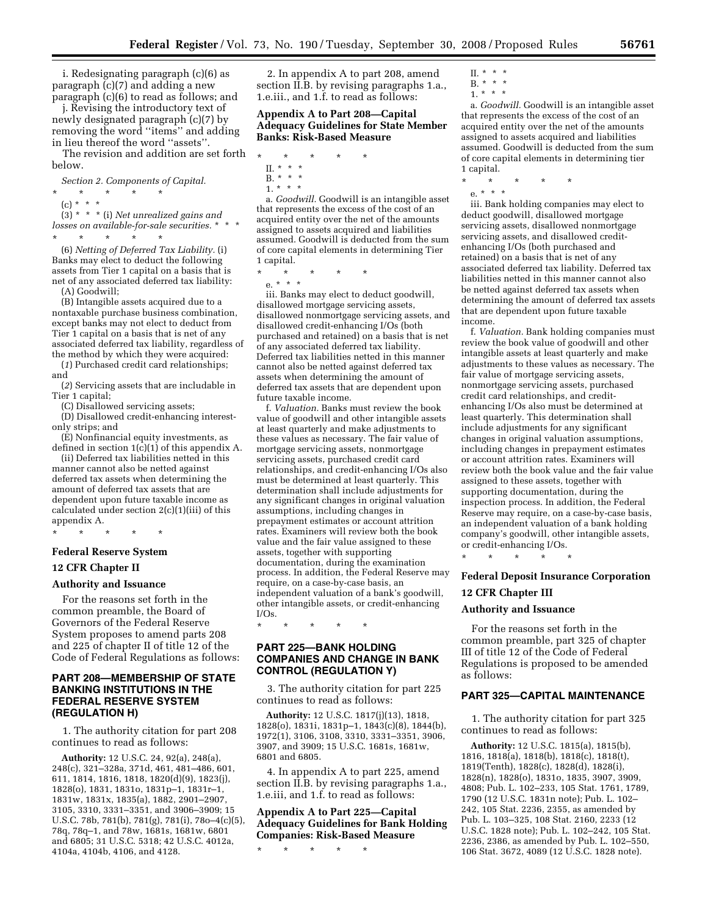i. Redesignating paragraph (c)(6) as paragraph (c)(7) and adding a new paragraph (c)(6) to read as follows; and

j. Revising the introductory text of newly designated paragraph (c)(7) by removing the word ''items'' and adding in lieu thereof the word ''assets''. The revision and addition are set forth

below.

*Section 2. Components of Capital.* 

- \* \* \* \* \*
- (c) \* \* \* (3) \* \* \* (i) *Net unrealized gains and losses on available-for-sale securities.* \* \* \* \* \* \* \* \*

(6) *Netting of Deferred Tax Liability.* (i) Banks may elect to deduct the following assets from Tier 1 capital on a basis that is net of any associated deferred tax liability: (A) Goodwill;

(B) Intangible assets acquired due to a nontaxable purchase business combination, except banks may not elect to deduct from Tier 1 capital on a basis that is net of any associated deferred tax liability, regardless of

the method by which they were acquired: (*1*) Purchased credit card relationships; and

(*2*) Servicing assets that are includable in Tier 1 capital;

(C) Disallowed servicing assets;

(D) Disallowed credit-enhancing interestonly strips; and

(E) Nonfinancial equity investments, as defined in section 1(c)(1) of this appendix A.

(ii) Deferred tax liabilities netted in this manner cannot also be netted against deferred tax assets when determining the amount of deferred tax assets that are dependent upon future taxable income as calculated under section 2(c)(1)(iii) of this appendix A.

\* \* \* \* \*

### **Federal Reserve System**

#### **12 CFR Chapter II**

### **Authority and Issuance**

For the reasons set forth in the common preamble, the Board of Governors of the Federal Reserve System proposes to amend parts 208 and 225 of chapter II of title 12 of the Code of Federal Regulations as follows:

### **PART 208—MEMBERSHIP OF STATE BANKING INSTITUTIONS IN THE FEDERAL RESERVE SYSTEM (REGULATION H)**

1. The authority citation for part 208 continues to read as follows:

**Authority:** 12 U.S.C. 24, 92(a), 248(a), 248(c), 321–328a, 371d, 461, 481–486, 601, 611, 1814, 1816, 1818, 1820(d)(9), 1823(j), 1828(o), 1831, 1831o, 1831p–1, 1831r–1, 1831w, 1831x, 1835(a), 1882, 2901–2907, 3105, 3310, 3331–3351, and 3906–3909; 15 U.S.C. 78b, 781(b), 781(g), 781(i), 78o–4(c)(5), 78q, 78q–1, and 78w, 1681s, 1681w, 6801 and 6805; 31 U.S.C. 5318; 42 U.S.C. 4012a, 4104a, 4104b, 4106, and 4128.

2. In appendix A to part 208, amend section II.B. by revising paragraphs 1.a., 1.e.iii., and 1.f. to read as follows:

#### **Appendix A to Part 208—Capital Adequacy Guidelines for State Member Banks: Risk-Based Measure**

- \* \* \* \* \*
- II. \* \* \* B. \* \* \*
- $1. * * *$

a. *Goodwill.* Goodwill is an intangible asset that represents the excess of the cost of an acquired entity over the net of the amounts assigned to assets acquired and liabilities assumed. Goodwill is deducted from the sum of core capital elements in determining Tier 1 capital.

\* \* \* \* \*

e. \* \* \*

iii. Banks may elect to deduct goodwill, disallowed mortgage servicing assets, disallowed nonmortgage servicing assets, and disallowed credit-enhancing I/Os (both purchased and retained) on a basis that is net of any associated deferred tax liability. Deferred tax liabilities netted in this manner cannot also be netted against deferred tax assets when determining the amount of deferred tax assets that are dependent upon future taxable income.

f. *Valuation.* Banks must review the book value of goodwill and other intangible assets at least quarterly and make adjustments to these values as necessary. The fair value of mortgage servicing assets, nonmortgage servicing assets, purchased credit card relationships, and credit-enhancing I/Os also must be determined at least quarterly. This determination shall include adjustments for any significant changes in original valuation assumptions, including changes in prepayment estimates or account attrition rates. Examiners will review both the book value and the fair value assigned to these assets, together with supporting documentation, during the examination process. In addition, the Federal Reserve may require, on a case-by-case basis, an independent valuation of a bank's goodwill, other intangible assets, or credit-enhancing I/Os.

\* \* \* \* \*

### **PART 225—BANK HOLDING COMPANIES AND CHANGE IN BANK CONTROL (REGULATION Y)**

3. The authority citation for part 225 continues to read as follows:

**Authority:** 12 U.S.C. 1817(j)(13), 1818, 1828(o), 1831i, 1831p–1, 1843(c)(8), 1844(b), 1972(1), 3106, 3108, 3310, 3331–3351, 3906, 3907, and 3909; 15 U.S.C. 1681s, 1681w, 6801 and 6805.

4. In appendix A to part 225, amend section II.B. by revising paragraphs 1.a., 1.e.iii, and 1.f. to read as follows:

## **Appendix A to Part 225—Capital Adequacy Guidelines for Bank Holding Companies: Risk-Based Measure**

\* \* \* \* \*

- II. \* \* \* B. \* \* \*
- 1. \* \* \*

a. *Goodwill.* Goodwill is an intangible asset that represents the excess of the cost of an acquired entity over the net of the amounts assigned to assets acquired and liabilities assumed. Goodwill is deducted from the sum of core capital elements in determining tier 1 capital.

- \* \* \* \* \*
	- e. \* \* \*

iii. Bank holding companies may elect to deduct goodwill, disallowed mortgage servicing assets, disallowed nonmortgage servicing assets, and disallowed creditenhancing I/Os (both purchased and retained) on a basis that is net of any associated deferred tax liability. Deferred tax liabilities netted in this manner cannot also be netted against deferred tax assets when determining the amount of deferred tax assets that are dependent upon future taxable income.

f. *Valuation.* Bank holding companies must review the book value of goodwill and other intangible assets at least quarterly and make adjustments to these values as necessary. The fair value of mortgage servicing assets, nonmortgage servicing assets, purchased credit card relationships, and creditenhancing I/Os also must be determined at least quarterly. This determination shall include adjustments for any significant changes in original valuation assumptions, including changes in prepayment estimates or account attrition rates. Examiners will review both the book value and the fair value assigned to these assets, together with supporting documentation, during the inspection process. In addition, the Federal Reserve may require, on a case-by-case basis, an independent valuation of a bank holding company's goodwill, other intangible assets, or credit-enhancing I/Os.

\* \* \* \* \*

# **Federal Deposit Insurance Corporation 12 CFR Chapter III**

#### **Authority and Issuance**

For the reasons set forth in the common preamble, part 325 of chapter III of title 12 of the Code of Federal Regulations is proposed to be amended as follows:

#### **PART 325—CAPITAL MAINTENANCE**

1. The authority citation for part 325 continues to read as follows:

**Authority:** 12 U.S.C. 1815(a), 1815(b), 1816, 1818(a), 1818(b), 1818(c), 1818(t), 1819(Tenth), 1828(c), 1828(d), 1828(i), 1828(n), 1828(o), 1831o, 1835, 3907, 3909, 4808; Pub. L. 102–233, 105 Stat. 1761, 1789, 1790 (12 U.S.C. 1831n note); Pub. L. 102– 242, 105 Stat. 2236, 2355, as amended by Pub. L. 103–325, 108 Stat. 2160, 2233 (12 U.S.C. 1828 note); Pub. L. 102–242, 105 Stat. 2236, 2386, as amended by Pub. L. 102–550, 106 Stat. 3672, 4089 (12 U.S.C. 1828 note).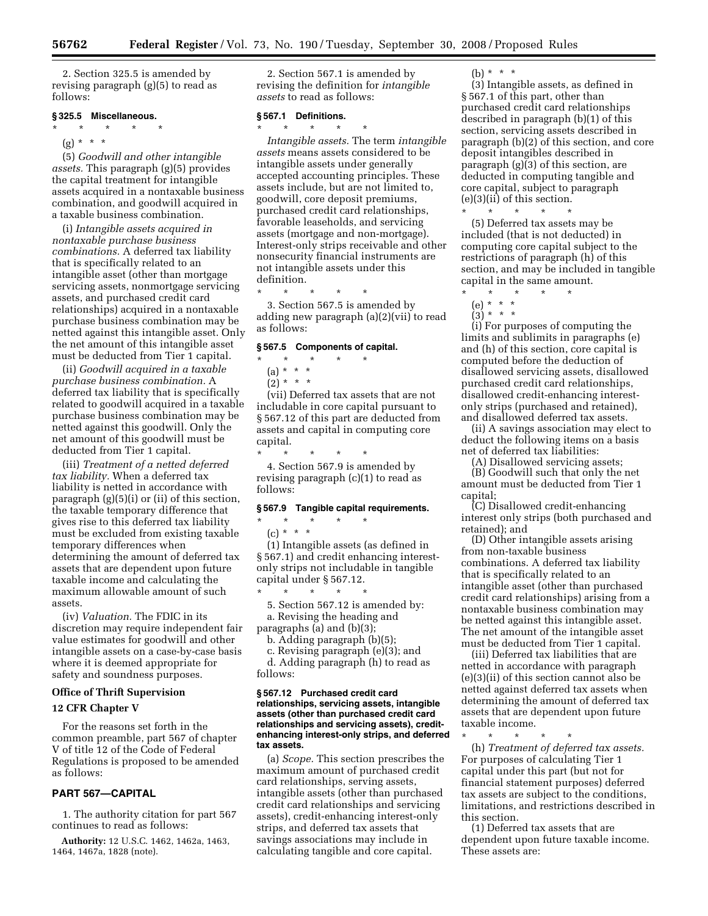2. Section 325.5 is amended by revising paragraph (g)(5) to read as follows:

#### **§ 325.5 Miscellaneous.**

- \* \* \* \* \*
	- (g) \* \* \*

(5) *Goodwill and other intangible assets.* This paragraph (g)(5) provides the capital treatment for intangible assets acquired in a nontaxable business combination, and goodwill acquired in a taxable business combination.

(i) *Intangible assets acquired in nontaxable purchase business combinations.* A deferred tax liability that is specifically related to an intangible asset (other than mortgage servicing assets, nonmortgage servicing assets, and purchased credit card relationships) acquired in a nontaxable purchase business combination may be netted against this intangible asset. Only the net amount of this intangible asset must be deducted from Tier 1 capital.

(ii) *Goodwill acquired in a taxable purchase business combination.* A deferred tax liability that is specifically related to goodwill acquired in a taxable purchase business combination may be netted against this goodwill. Only the net amount of this goodwill must be deducted from Tier 1 capital.

(iii) *Treatment of a netted deferred tax liability.* When a deferred tax liability is netted in accordance with paragraph (g)(5)(i) or (ii) of this section, the taxable temporary difference that gives rise to this deferred tax liability must be excluded from existing taxable temporary differences when determining the amount of deferred tax assets that are dependent upon future taxable income and calculating the maximum allowable amount of such assets.

(iv) *Valuation.* The FDIC in its discretion may require independent fair value estimates for goodwill and other intangible assets on a case-by-case basis where it is deemed appropriate for safety and soundness purposes.

#### **Office of Thrift Supervision**

#### **12 CFR Chapter V**

For the reasons set forth in the common preamble, part 567 of chapter V of title 12 of the Code of Federal Regulations is proposed to be amended as follows:

### **PART 567—CAPITAL**

1. The authority citation for part 567 continues to read as follows:

**Authority:** 12 U.S.C. 1462, 1462a, 1463, 1464, 1467a, 1828 (note).

2. Section 567.1 is amended by revising the definition for *intangible assets* to read as follows:

#### **§ 567.1 Definitions.**

\* \* \* \* \* *Intangible assets.* The term *intangible assets* means assets considered to be intangible assets under generally accepted accounting principles. These assets include, but are not limited to, goodwill, core deposit premiums, purchased credit card relationships, favorable leaseholds, and servicing assets (mortgage and non-mortgage). Interest-only strips receivable and other nonsecurity financial instruments are not intangible assets under this definition.

\* \* \* \* \*

3. Section 567.5 is amended by adding new paragraph (a)(2)(vii) to read as follows:

#### **§ 567.5 Components of capital.**

- \* \* \* \* \*
- $(a) * * * *$
- $(2) * * * *$

(vii) Deferred tax assets that are not includable in core capital pursuant to § 567.12 of this part are deducted from assets and capital in computing core capital.

\* \* \* \* \* 4. Section 567.9 is amended by revising paragraph (c)(1) to read as follows:

### **§ 567.9 Tangible capital requirements.**

\* \* \* \* \*  $(c) * * * *$ 

(1) Intangible assets (as defined in § 567.1) and credit enhancing interestonly strips not includable in tangible capital under § 567.12. \* \* \* \* \*

5. Section 567.12 is amended by: a. Revising the heading and paragraphs (a) and (b)(3);

b. Adding paragraph (b)(5);

c. Revising paragraph (e)(3); and d. Adding paragraph (h) to read as follows:

#### **§ 567.12 Purchased credit card relationships, servicing assets, intangible assets (other than purchased credit card relationships and servicing assets), creditenhancing interest-only strips, and deferred tax assets.**

(a) *Scope.* This section prescribes the maximum amount of purchased credit card relationships, serving assets, intangible assets (other than purchased credit card relationships and servicing assets), credit-enhancing interest-only strips, and deferred tax assets that savings associations may include in calculating tangible and core capital.

 $(h) * * * *$ 

(3) Intangible assets, as defined in § 567.1 of this part, other than purchased credit card relationships described in paragraph (b)(1) of this section, servicing assets described in paragraph (b)(2) of this section, and core deposit intangibles described in paragraph (g)(3) of this section, are deducted in computing tangible and core capital, subject to paragraph (e)(3)(ii) of this section.

\* \* \* \* \* (5) Deferred tax assets may be included (that is not deducted) in computing core capital subject to the restrictions of paragraph (h) of this section, and may be included in tangible capital in the same amount.

- \* \* \* \* \*
- (e) \* \* \*  $(3) * * * *$

(i) For purposes of computing the limits and sublimits in paragraphs (e) and (h) of this section, core capital is computed before the deduction of disallowed servicing assets, disallowed purchased credit card relationships, disallowed credit-enhancing interestonly strips (purchased and retained), and disallowed deferred tax assets.

(ii) A savings association may elect to deduct the following items on a basis net of deferred tax liabilities:

(A) Disallowed servicing assets;

(B) Goodwill such that only the net amount must be deducted from Tier 1 capital;

(C) Disallowed credit-enhancing interest only strips (both purchased and retained); and

(D) Other intangible assets arising from non-taxable business combinations. A deferred tax liability that is specifically related to an intangible asset (other than purchased credit card relationships) arising from a nontaxable business combination may be netted against this intangible asset. The net amount of the intangible asset must be deducted from Tier 1 capital.

(iii) Deferred tax liabilities that are netted in accordance with paragraph (e)(3)(ii) of this section cannot also be netted against deferred tax assets when determining the amount of deferred tax assets that are dependent upon future taxable income.

\* \* \* \* \* (h) *Treatment of deferred tax assets.*  For purposes of calculating Tier 1 capital under this part (but not for financial statement purposes) deferred tax assets are subject to the conditions, limitations, and restrictions described in this section.

(1) Deferred tax assets that are dependent upon future taxable income. These assets are: